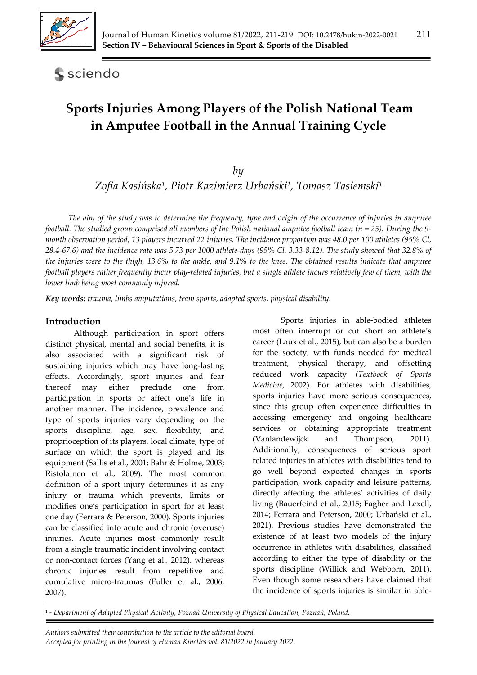

**S** sciendo

# **Sports Injuries Among Players of the Polish National Team in Amputee Football in the Annual Training Cycle**

*by* 

*Zofia Kasińska1, Piotr Kazimierz Urbański1, Tomasz Tasiemski1*

*The aim of the study was to determine the frequency, type and origin of the occurrence of injuries in amputee football. The studied group comprised all members of the Polish national amputee football team (n = 25). During the 9 month observation period, 13 players incurred 22 injuries. The incidence proportion was 48.0 per 100 athletes (95% Cl, 28.4-67.6) and the incidence rate was 5.73 per 1000 athlete-days (95% Cl, 3.33-8.12). The study showed that 32.8% of the injuries were to the thigh, 13.6% to the ankle, and 9.1% to the knee. The obtained results indicate that amputee football players rather frequently incur play-related injuries, but a single athlete incurs relatively few of them, with the lower limb being most commonly injured.* 

*Key words: trauma, limbs amputations, team sports, adapted sports, physical disability.*

# **Introduction**

Although participation in sport offers distinct physical, mental and social benefits, it is also associated with a significant risk of sustaining injuries which may have long-lasting effects. Accordingly, sport injuries and fear thereof may either preclude one from participation in sports or affect one's life in another manner. The incidence, prevalence and type of sports injuries vary depending on the sports discipline, age, sex, flexibility, and proprioception of its players, local climate, type of surface on which the sport is played and its equipment (Sallis et al., 2001; Bahr & Holme, 2003; Ristolainen et al., 2009). The most common definition of a sport injury determines it as any injury or trauma which prevents, limits or modifies one's participation in sport for at least one day (Ferrara & Peterson, 2000). Sports injuries can be classified into acute and chronic (overuse) injuries. Acute injuries most commonly result from a single traumatic incident involving contact or non-contact forces (Yang et al., 2012), whereas chronic injuries result from repetitive and cumulative micro-traumas (Fuller et al., 2006, 2007).

Sports injuries in able-bodied athletes most often interrupt or cut short an athlete's career (Laux et al., 2015), but can also be a burden for the society, with funds needed for medical treatment, physical therapy, and offsetting reduced work capacity (*Textbook of Sports Medicine*, 2002). For athletes with disabilities, sports injuries have more serious consequences, since this group often experience difficulties in accessing emergency and ongoing healthcare services or obtaining appropriate treatment (Vanlandewijck and Thompson, 2011). Additionally, consequences of serious sport related injuries in athletes with disabilities tend to go well beyond expected changes in sports participation, work capacity and leisure patterns, directly affecting the athletes' activities of daily living (Bauerfeind et al., 2015; Fagher and Lexell, 2014; Ferrara and Peterson, 2000; Urbański et al., 2021). Previous studies have demonstrated the existence of at least two models of the injury occurrence in athletes with disabilities, classified according to either the type of disability or the sports discipline (Willick and Webborn, 2011). Even though some researchers have claimed that the incidence of sports injuries is similar in able-

<sup>1 -</sup> *Department of Adapted Physical Activity, Poznań University of Physical Education, Poznań, Poland.*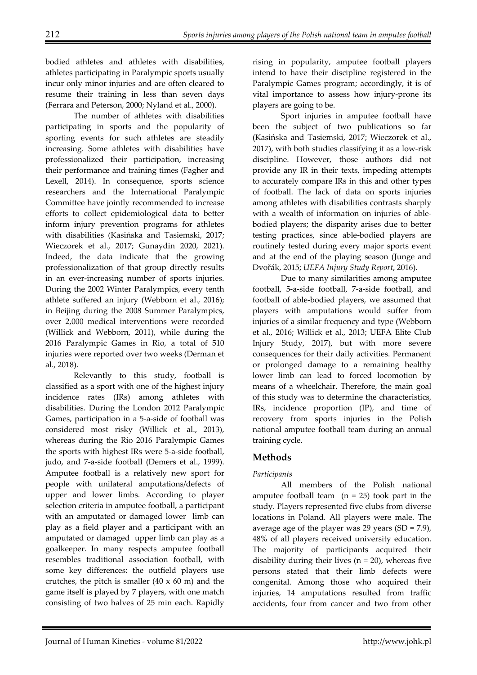bodied athletes and athletes with disabilities, athletes participating in Paralympic sports usually incur only minor injuries and are often cleared to resume their training in less than seven days (Ferrara and Peterson, 2000; Nyland et al., 2000).

The number of athletes with disabilities participating in sports and the popularity of sporting events for such athletes are steadily increasing. Some athletes with disabilities have professionalized their participation, increasing their performance and training times (Fagher and Lexell, 2014). In consequence, sports science researchers and the International Paralympic Committee have jointly recommended to increase efforts to collect epidemiological data to better inform injury prevention programs for athletes with disabilities (Kasińska and Tasiemski, 2017; Wieczorek et al., 2017; Gunaydin 2020, 2021). Indeed, the data indicate that the growing professionalization of that group directly results in an ever-increasing number of sports injuries. During the 2002 Winter Paralympics, every tenth athlete suffered an injury (Webborn et al., 2016); in Beijing during the 2008 Summer Paralympics, over 2,000 medical interventions were recorded (Willick and Webborn, 2011), while during the 2016 Paralympic Games in Rio, a total of 510 injuries were reported over two weeks (Derman et al., 2018).

Relevantly to this study, football is classified as a sport with one of the highest injury incidence rates (IRs) among athletes with disabilities. During the London 2012 Paralympic Games, participation in a 5-a-side of football was considered most risky (Willick et al., 2013), whereas during the Rio 2016 Paralympic Games the sports with highest IRs were 5-a-side football, judo, and 7-a-side football (Demers et al., 1999). Amputee football is a relatively new sport for people with unilateral amputations/defects of upper and lower limbs. According to player selection criteria in amputee football, a participant with an amputated or damaged lower limb can play as a field player and a participant with an amputated or damaged upper limb can play as a goalkeeper. In many respects amputee football resembles traditional association football, with some key differences: the outfield players use crutches, the pitch is smaller  $(40 \times 60 \text{ m})$  and the game itself is played by 7 players, with one match consisting of two halves of 25 min each. Rapidly

rising in popularity, amputee football players intend to have their discipline registered in the Paralympic Games program; accordingly, it is of vital importance to assess how injury-prone its players are going to be.

Sport injuries in amputee football have been the subject of two publications so far (Kasińska and Tasiemski, 2017; Wieczorek et al., 2017), with both studies classifying it as a low-risk discipline. However, those authors did not provide any IR in their texts, impeding attempts to accurately compare IRs in this and other types of football. The lack of data on sports injuries among athletes with disabilities contrasts sharply with a wealth of information on injuries of ablebodied players; the disparity arises due to better testing practices, since able-bodied players are routinely tested during every major sports event and at the end of the playing season (Junge and Dvořák, 2015; *UEFA Injury Study Report*, 2016).

Due to many similarities among amputee football, 5-a-side football, 7-a-side football, and football of able-bodied players, we assumed that players with amputations would suffer from injuries of a similar frequency and type (Webborn et al., 2016; Willick et al., 2013; UEFA Elite Club Injury Study, 2017), but with more severe consequences for their daily activities. Permanent or prolonged damage to a remaining healthy lower limb can lead to forced locomotion by means of a wheelchair. Therefore, the main goal of this study was to determine the characteristics, IRs, incidence proportion (IP), and time of recovery from sports injuries in the Polish national amputee football team during an annual training cycle.

# **Methods**

# *Participants*

All members of the Polish national amputee football team  $(n = 25)$  took part in the study. Players represented five clubs from diverse locations in Poland. All players were male. The average age of the player was 29 years  $(SD = 7.9)$ , 48% of all players received university education. The majority of participants acquired their disability during their lives  $(n = 20)$ , whereas five persons stated that their limb defects were congenital. Among those who acquired their injuries, 14 amputations resulted from traffic accidents, four from cancer and two from other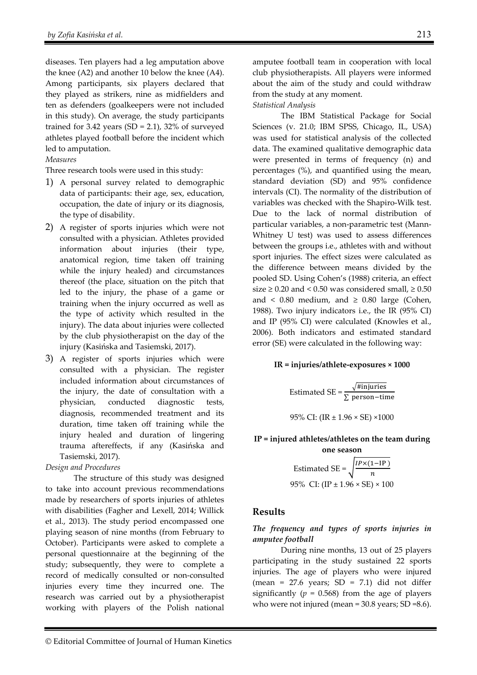diseases. Ten players had a leg amputation above the knee (A2) and another 10 below the knee (A4). Among participants, six players declared that they played as strikers, nine as midfielders and ten as defenders (goalkeepers were not included in this study). On average, the study participants trained for 3.42 years (SD = 2.1), 32% of surveyed athletes played football before the incident which led to amputation.

## *Measures*

Three research tools were used in this study:

- 1) A personal survey related to demographic data of participants: their age, sex, education, occupation, the date of injury or its diagnosis, the type of disability.
- 2) A register of sports injuries which were not consulted with a physician. Athletes provided information about injuries (their type, anatomical region, time taken off training while the injury healed) and circumstances thereof (the place, situation on the pitch that led to the injury, the phase of a game or training when the injury occurred as well as the type of activity which resulted in the injury). The data about injuries were collected by the club physiotherapist on the day of the injury (Kasińska and Tasiemski, 2017).
- 3) A register of sports injuries which were consulted with a physician. The register included information about circumstances of the injury, the date of consultation with a physician, conducted diagnostic tests, diagnosis, recommended treatment and its duration, time taken off training while the injury healed and duration of lingering trauma aftereffects, if any (Kasińska and Tasiemski, 2017).

## *Design and Procedures*

The structure of this study was designed to take into account previous recommendations made by researchers of sports injuries of athletes with disabilities (Fagher and Lexell, 2014; Willick et al., 2013). The study period encompassed one playing season of nine months (from February to October). Participants were asked to complete a personal questionnaire at the beginning of the study; subsequently, they were to complete a record of medically consulted or non-consulted injuries every time they incurred one. The research was carried out by a physiotherapist working with players of the Polish national

amputee football team in cooperation with local club physiotherapists. All players were informed about the aim of the study and could withdraw from the study at any moment.

## *Statistical Analysis*

The IBM Statistical Package for Social Sciences (v. 21.0; IBM SPSS, Chicago, IL, USA) was used for statistical analysis of the collected data. The examined qualitative demographic data were presented in terms of frequency (n) and percentages (%), and quantified using the mean, standard deviation (SD) and 95% confidence intervals (CI). The normality of the distribution of variables was checked with the Shapiro-Wilk test. Due to the lack of normal distribution of particular variables, a non-parametric test (Mann-Whitney U test) was used to assess differences between the groups i.e., athletes with and without sport injuries. The effect sizes were calculated as the difference between means divided by the pooled SD. Using Cohen's (1988) criteria, an effect size  $\geq$  0.20 and < 0.50 was considered small,  $\geq$  0.50 and <  $0.80$  medium, and  $\geq 0.80$  large (Cohen, 1988). Two injury indicators i.e., the IR (95% CI) and IP (95% CI) were calculated (Knowles et al., 2006). Both indicators and estimated standard error (SE) were calculated in the following way:

## **IR = injuries/athlete-exposures × 1000**

Estimated SE =  $\frac{\sqrt{\text{#injuries}}}{\sum \text{person-time}}$ 95% CI: (IR ± 1.96 × SE) ×1000

# **IP = injured athletes/athletes on the team during**

**one season**  Estimated SE =  $\sqrt{\frac{IP \times (1 - IP)}{n}}$ 95% CI:  $(IP \pm 1.96 \times SE) \times 100$ 

# **Results**

# *The frequency and types of sports injuries in amputee football*

During nine months, 13 out of 25 players participating in the study sustained 22 sports injuries. The age of players who were injured (mean =  $27.6$  years; SD =  $7.1$ ) did not differ significantly ( $p = 0.568$ ) from the age of players who were not injured (mean = 30.8 years; SD =8.6).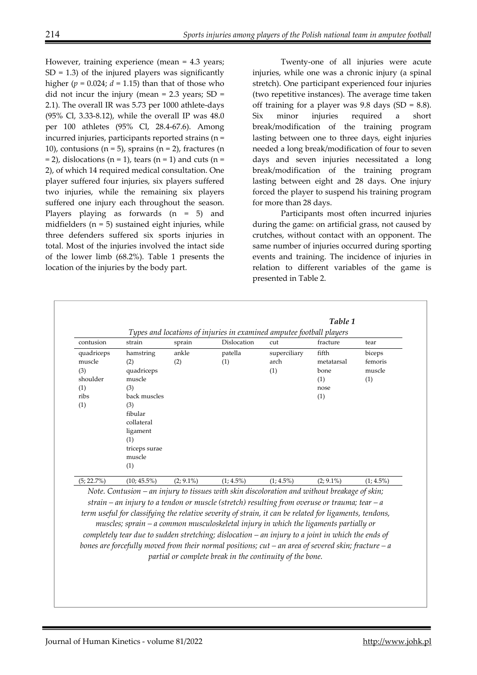However, training experience (mean = 4.3 years;  $SD = 1.3$ ) of the injured players was significantly higher ( $p = 0.024$ ;  $d = 1.15$ ) than that of those who did not incur the injury (mean  $= 2.3$  years; SD  $=$ 2.1). The overall IR was 5.73 per 1000 athlete-days (95% Cl, 3.33-8.12), while the overall IP was 48.0 per 100 athletes (95% Cl, 28.4-67.6). Among incurred injuries, participants reported strains (n = 10), contusions ( $n = 5$ ), sprains ( $n = 2$ ), fractures ( $n = 10$  $= 2$ ), dislocations (n = 1), tears (n = 1) and cuts (n = 2), of which 14 required medical consultation. One player suffered four injuries, six players suffered two injuries, while the remaining six players suffered one injury each throughout the season. Players playing as forwards (n = 5) and midfielders  $(n = 5)$  sustained eight injuries, while three defenders suffered six sports injuries in total. Most of the injuries involved the intact side of the lower limb (68.2%). Table 1 presents the location of the injuries by the body part.

Twenty-one of all injuries were acute injuries, while one was a chronic injury (a spinal stretch). One participant experienced four injuries (two repetitive instances). The average time taken off training for a player was  $9.8$  days (SD =  $8.8$ ). Six minor injuries required a short break/modification of the training program lasting between one to three days, eight injuries needed a long break/modification of four to seven days and seven injuries necessitated a long break/modification of the training program lasting between eight and 28 days. One injury forced the player to suspend his training program for more than 28 days.

Participants most often incurred injuries during the game: on artificial grass, not caused by crutches, without contact with an opponent. The same number of injuries occurred during sporting events and training. The incidence of injuries in relation to different variables of the game is presented in Table 2.

|               |                |              |                                                                      |              | Table 1      |              |
|---------------|----------------|--------------|----------------------------------------------------------------------|--------------|--------------|--------------|
|               |                |              | Types and locations of injuries in examined amputee football players |              |              |              |
| contusion     | strain         | sprain       | Dislocation                                                          | cut          | fracture     | tear         |
| quadriceps    | hamstring      | ankle        | patella                                                              | superciliary | fifth        | biceps       |
| muscle        | (2)            | (2)          | (1)                                                                  | arch         | metatarsal   | femoris      |
| (3)           | quadriceps     |              |                                                                      | (1)          | bone         | muscle       |
| shoulder      | muscle         |              |                                                                      |              | (1)          | (1)          |
| (1)           | (3)            |              |                                                                      |              | nose         |              |
| ribs          | back muscles   |              |                                                                      |              | (1)          |              |
| (1)           | (3)            |              |                                                                      |              |              |              |
|               | fibular        |              |                                                                      |              |              |              |
|               | collateral     |              |                                                                      |              |              |              |
|               | ligament       |              |                                                                      |              |              |              |
|               | (1)            |              |                                                                      |              |              |              |
|               | triceps surae  |              |                                                                      |              |              |              |
|               | muscle         |              |                                                                      |              |              |              |
|               | (1)            |              |                                                                      |              |              |              |
| $(5; 22.7\%)$ | $(10; 45.5\%)$ | $(2; 9.1\%)$ | $(1; 4.5\%)$                                                         | $(1; 4.5\%)$ | $(2; 9.1\%)$ | $(1; 4.5\%)$ |

*Note. Contusion – an injury to tissues with skin discoloration and without breakage of skin; strain – an injury to a tendon or muscle (stretch) resulting from overuse or trauma; tear – a term useful for classifying the relative severity of strain, it can be related for ligaments, tendons, muscles; sprain – a common musculoskeletal injury in which the ligaments partially or completely tear due to sudden stretching; dislocation – an injury to a joint in which the ends of bones are forcefully moved from their normal positions; cut – an area of severed skin; fracture – a partial or complete break in the continuity of the bone.*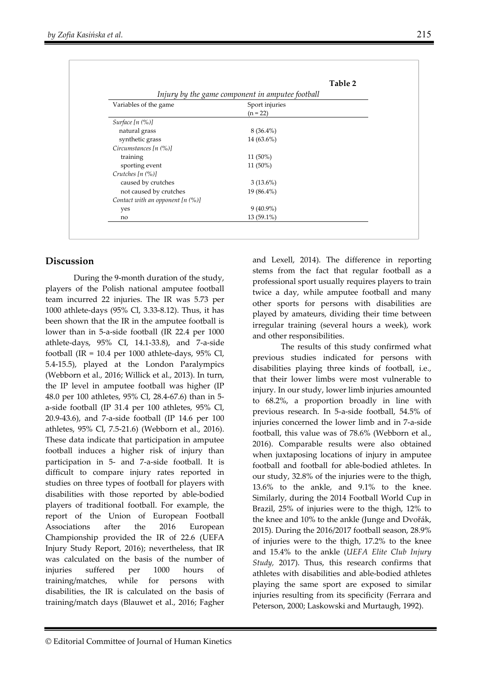|                                                  | Table 2                      |  |  |  |  |  |
|--------------------------------------------------|------------------------------|--|--|--|--|--|
| Injury by the game component in amputee football |                              |  |  |  |  |  |
| Variables of the game                            | Sport injuries<br>$(n = 22)$ |  |  |  |  |  |
| Surface $[n (%)]$                                |                              |  |  |  |  |  |
| natural grass                                    | $8(36.4\%)$                  |  |  |  |  |  |
| synthetic grass                                  | $14(63.6\%)$                 |  |  |  |  |  |
| Circumstances $[n (%)]$                          |                              |  |  |  |  |  |
| training                                         | 11 (50%)                     |  |  |  |  |  |
| sporting event                                   | 11 (50%)                     |  |  |  |  |  |
| Crutches $[n (%)]$                               |                              |  |  |  |  |  |
| caused by crutches                               | $3(13.6\%)$                  |  |  |  |  |  |
| not caused by crutches                           | $19(86.4\%)$                 |  |  |  |  |  |
| Contact with an opponent $[n (%)]$               |                              |  |  |  |  |  |
| yes                                              | $9(40.9\%)$                  |  |  |  |  |  |
| no                                               | 13 (59.1%)                   |  |  |  |  |  |

# **Discussion**

During the 9-month duration of the study, players of the Polish national amputee football team incurred 22 injuries. The IR was 5.73 per 1000 athlete-days (95% Cl, 3.33-8.12). Thus, it has been shown that the IR in the amputee football is lower than in 5-a-side football (IR 22.4 per 1000 athlete-days, 95% CI, 14.1-33.8), and 7-a-side football (IR =  $10.4$  per 1000 athlete-days, 95% Cl, 5.4-15.5), played at the London Paralympics (Webborn et al., 2016; Willick et al., 2013). In turn, the IP level in amputee football was higher (IP 48.0 per 100 athletes, 95% Cl, 28.4-67.6) than in 5 a-side football (IP 31.4 per 100 athletes, 95% Cl, 20.9-43.6), and 7-a-side football (IP 14.6 per 100 athletes, 95% Cl, 7.5-21.6) (Webborn et al., 2016). These data indicate that participation in amputee football induces a higher risk of injury than participation in 5- and 7-a-side football. It is difficult to compare injury rates reported in studies on three types of football for players with disabilities with those reported by able-bodied players of traditional football. For example, the report of the Union of European Football Associations after the 2016 European Championship provided the IR of 22.6 (UEFA Injury Study Report, 2016); nevertheless, that IR was calculated on the basis of the number of injuries suffered per 1000 hours of training/matches, while for persons with disabilities, the IR is calculated on the basis of training/match days (Blauwet et al., 2016; Fagher

and Lexell, 2014). The difference in reporting stems from the fact that regular football as a professional sport usually requires players to train twice a day, while amputee football and many other sports for persons with disabilities are played by amateurs, dividing their time between irregular training (several hours a week), work and other responsibilities.

The results of this study confirmed what previous studies indicated for persons with disabilities playing three kinds of football, i.e., that their lower limbs were most vulnerable to injury. In our study, lower limb injuries amounted to 68.2%, a proportion broadly in line with previous research. In 5-a-side football, 54.5% of injuries concerned the lower limb and in 7-a-side football, this value was of 78.6% (Webborn et al., 2016). Comparable results were also obtained when juxtaposing locations of injury in amputee football and football for able-bodied athletes. In our study, 32.8% of the injuries were to the thigh, 13.6% to the ankle, and 9.1% to the knee. Similarly, during the 2014 Football World Cup in Brazil, 25% of injuries were to the thigh, 12% to the knee and 10% to the ankle (Junge and Dvořák, 2015). During the 2016/2017 football season, 28.9% of injuries were to the thigh, 17.2% to the knee and 15.4% to the ankle (*UEFA Elite Club Injury Study,* 2017). Thus, this research confirms that athletes with disabilities and able-bodied athletes playing the same sport are exposed to similar injuries resulting from its specificity (Ferrara and Peterson, 2000; Laskowski and Murtaugh, 1992).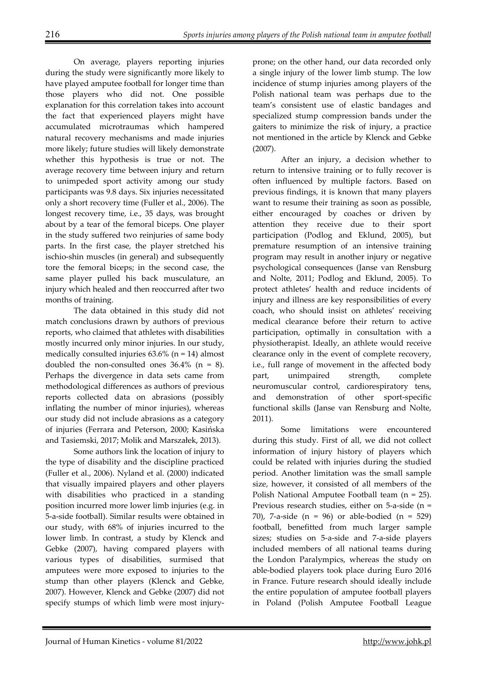On average, players reporting injuries during the study were significantly more likely to have played amputee football for longer time than those players who did not. One possible explanation for this correlation takes into account the fact that experienced players might have accumulated microtraumas which hampered natural recovery mechanisms and made injuries more likely; future studies will likely demonstrate whether this hypothesis is true or not. The average recovery time between injury and return to unimpeded sport activity among our study participants was 9.8 days. Six injuries necessitated only a short recovery time (Fuller et al., 2006). The longest recovery time, i.e., 35 days, was brought about by a tear of the femoral biceps. One player in the study suffered two reinjuries of same body parts. In the first case, the player stretched his ischio-shin muscles (in general) and subsequently tore the femoral biceps; in the second case, the same player pulled his back musculature, an injury which healed and then reoccurred after two months of training.

The data obtained in this study did not match conclusions drawn by authors of previous reports, who claimed that athletes with disabilities mostly incurred only minor injuries. In our study, medically consulted injuries  $63.6\%$  (n = 14) almost doubled the non-consulted ones  $36.4\%$  (n = 8). Perhaps the divergence in data sets came from methodological differences as authors of previous reports collected data on abrasions (possibly inflating the number of minor injuries), whereas our study did not include abrasions as a category of injuries (Ferrara and Peterson, 2000; Kasińska and Tasiemski, 2017; Molik and Marszałek, 2013).

Some authors link the location of injury to the type of disability and the discipline practiced (Fuller et al., 2006). Nyland et al. (2000) indicated that visually impaired players and other players with disabilities who practiced in a standing position incurred more lower limb injuries (e.g. in 5-a-side football). Similar results were obtained in our study, with 68% of injuries incurred to the lower limb. In contrast, a study by Klenck and Gebke (2007), having compared players with various types of disabilities, surmised that amputees were more exposed to injuries to the stump than other players (Klenck and Gebke, 2007). However, Klenck and Gebke (2007) did not specify stumps of which limb were most injury-

prone; on the other hand, our data recorded only a single injury of the lower limb stump. The low incidence of stump injuries among players of the Polish national team was perhaps due to the team's consistent use of elastic bandages and specialized stump compression bands under the gaiters to minimize the risk of injury, a practice not mentioned in the article by Klenck and Gebke (2007).

After an injury, a decision whether to return to intensive training or to fully recover is often influenced by multiple factors. Based on previous findings, it is known that many players want to resume their training as soon as possible, either encouraged by coaches or driven by attention they receive due to their sport participation (Podlog and Eklund, 2005), but premature resumption of an intensive training program may result in another injury or negative psychological consequences (Janse van Rensburg and Nolte, 2011; Podlog and Eklund, 2005). To protect athletes' health and reduce incidents of injury and illness are key responsibilities of every coach, who should insist on athletes' receiving medical clearance before their return to active participation, optimally in consultation with a physiotherapist. Ideally, an athlete would receive clearance only in the event of complete recovery, i.e., full range of movement in the affected body part, unimpaired strength, complete neuromuscular control, cardiorespiratory tens, and demonstration of other sport-specific functional skills (Janse van Rensburg and Nolte, 2011).

 Some limitations were encountered during this study. First of all, we did not collect information of injury history of players which could be related with injuries during the studied period. Another limitation was the small sample size, however, it consisted of all members of the Polish National Amputee Football team (n = 25). Previous research studies, either on 5-a-side (n = 70), 7-a-side  $(n = 96)$  or able-bodied  $(n = 529)$ football, benefitted from much larger sample sizes; studies on 5-a-side and 7-a-side players included members of all national teams during the London Paralympics, whereas the study on able-bodied players took place during Euro 2016 in France. Future research should ideally include the entire population of amputee football players in Poland (Polish Amputee Football League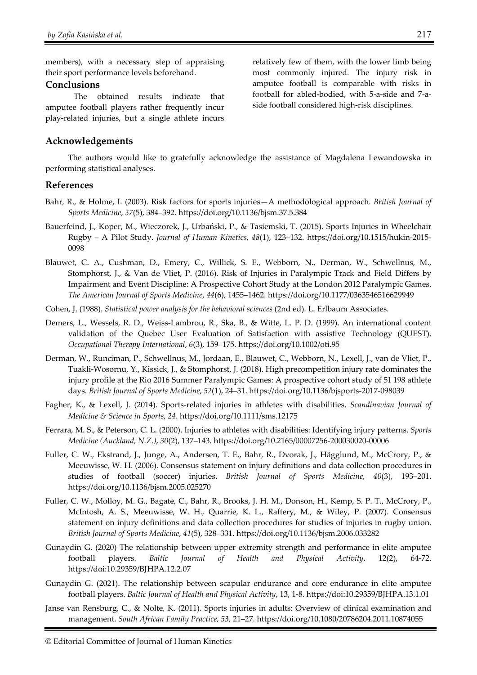members), with a necessary step of appraising their sport performance levels beforehand.

#### **Conclusions**

The obtained results indicate that amputee football players rather frequently incur play-related injuries, but a single athlete incurs

## **Acknowledgements**

The authors would like to gratefully acknowledge the assistance of Magdalena Lewandowska in performing statistical analyses.

## **References**

- Bahr, R., & Holme, I. (2003). Risk factors for sports injuries—A methodological approach. *British Journal of Sports Medicine*, *37*(5), 384–392. https://doi.org/10.1136/bjsm.37.5.384
- Bauerfeind, J., Koper, M., Wieczorek, J., Urbański, P., & Tasiemski, T. (2015). Sports Injuries in Wheelchair Rugby – A Pilot Study. *Journal of Human Kinetics*, *48*(1), 123–132. https://doi.org/10.1515/hukin-2015- 0098
- Blauwet, C. A., Cushman, D., Emery, C., Willick, S. E., Webborn, N., Derman, W., Schwellnus, M., Stomphorst, J., & Van de Vliet, P. (2016). Risk of Injuries in Paralympic Track and Field Differs by Impairment and Event Discipline: A Prospective Cohort Study at the London 2012 Paralympic Games. *The American Journal of Sports Medicine*, *44*(6), 1455–1462. https://doi.org/10.1177/0363546516629949
- Cohen, J. (1988). *Statistical power analysis for the behavioral sciences* (2nd ed). L. Erlbaum Associates.
- Demers, L., Wessels, R. D., Weiss-Lambrou, R., Ska, B., & Witte, L. P. D. (1999). An international content validation of the Quebec User Evaluation of Satisfaction with assistive Technology (QUEST). *Occupational Therapy International*, *6*(3), 159–175. https://doi.org/10.1002/oti.95
- Derman, W., Runciman, P., Schwellnus, M., Jordaan, E., Blauwet, C., Webborn, N., Lexell, J., van de Vliet, P., Tuakli-Wosornu, Y., Kissick, J., & Stomphorst, J. (2018). High precompetition injury rate dominates the injury profile at the Rio 2016 Summer Paralympic Games: A prospective cohort study of 51 198 athlete days. *British Journal of Sports Medicine*, *52*(1), 24–31. https://doi.org/10.1136/bjsports-2017-098039
- Fagher, K., & Lexell, J. (2014). Sports-related injuries in athletes with disabilities. *Scandinavian Journal of Medicine & Science in Sports*, *24*. https://doi.org/10.1111/sms.12175
- Ferrara, M. S., & Peterson, C. L. (2000). Injuries to athletes with disabilities: Identifying injury patterns. *Sports Medicine (Auckland, N.Z.)*, *30*(2), 137–143. https://doi.org/10.2165/00007256-200030020-00006
- Fuller, C. W., Ekstrand, J., Junge, A., Andersen, T. E., Bahr, R., Dvorak, J., Hägglund, M., McCrory, P., & Meeuwisse, W. H. (2006). Consensus statement on injury definitions and data collection procedures in studies of football (soccer) injuries. *British Journal of Sports Medicine*, *40*(3), 193–201. https://doi.org/10.1136/bjsm.2005.025270
- Fuller, C. W., Molloy, M. G., Bagate, C., Bahr, R., Brooks, J. H. M., Donson, H., Kemp, S. P. T., McCrory, P., McIntosh, A. S., Meeuwisse, W. H., Quarrie, K. L., Raftery, M., & Wiley, P. (2007). Consensus statement on injury definitions and data collection procedures for studies of injuries in rugby union. *British Journal of Sports Medicine*, *41*(5), 328–331. https://doi.org/10.1136/bjsm.2006.033282
- Gunaydin G. (2020) The relationship between upper extremity strength and performance in elite amputee football players. *Baltic Journal of Health and Physical Activity*, 12(2), 64-72. https://doi:10.29359/BJHPA.12.2.07
- Gunaydin G. (2021). The relationship between scapular endurance and core endurance in elite amputee football players. *Baltic Journal of Health and Physical Activity*, 13, 1-8. https://doi:10.29359/BJHPA.13.1.01
- Janse van Rensburg, C., & Nolte, K. (2011). Sports injuries in adults: Overview of clinical examination and management. *South African Family Practice*, *53*, 21–27. https://doi.org/10.1080/20786204.2011.10874055

relatively few of them, with the lower limb being most commonly injured. The injury risk in amputee football is comparable with risks in football for abled-bodied, with 5-a-side and 7-aside football considered high-risk disciplines.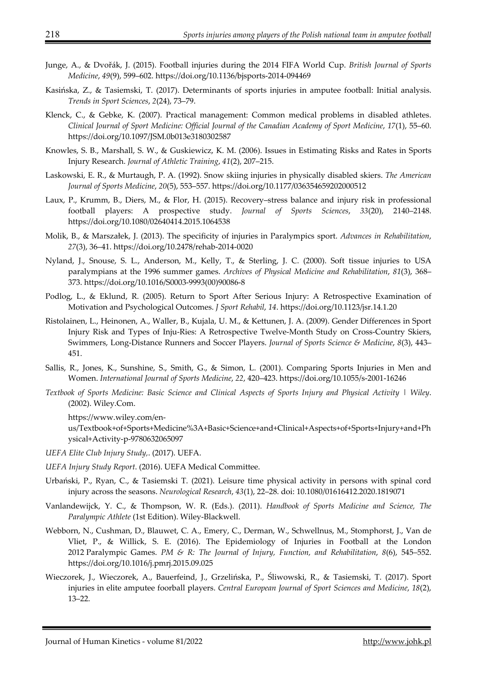- Junge, A., & Dvořák, J. (2015). Football injuries during the 2014 FIFA World Cup. *British Journal of Sports Medicine*, *49*(9), 599–602. https://doi.org/10.1136/bjsports-2014-094469
- Kasińska, Z., & Tasiemski, T. (2017). Determinants of sports injuries in amputee football: Initial analysis. *Trends in Sport Sciences*, *2*(24), 73–79.
- Klenck, C., & Gebke, K. (2007). Practical management: Common medical problems in disabled athletes. *Clinical Journal of Sport Medicine: Official Journal of the Canadian Academy of Sport Medicine*, *17*(1), 55–60. https://doi.org/10.1097/JSM.0b013e3180302587
- Knowles, S. B., Marshall, S. W., & Guskiewicz, K. M. (2006). Issues in Estimating Risks and Rates in Sports Injury Research. *Journal of Athletic Training*, *41*(2), 207–215.
- Laskowski, E. R., & Murtaugh, P. A. (1992). Snow skiing injuries in physically disabled skiers. *The American Journal of Sports Medicine*, *20*(5), 553–557. https://doi.org/10.1177/036354659202000512
- Laux, P., Krumm, B., Diers, M., & Flor, H. (2015). Recovery–stress balance and injury risk in professional football players: A prospective study. *Journal of Sports Sciences*, *33*(20), 2140–2148. https://doi.org/10.1080/02640414.2015.1064538
- Molik, B., & Marszałek, J. (2013). The specificity of injuries in Paralympics sport. *Advances in Rehabilitation*, *27*(3), 36–41. https://doi.org/10.2478/rehab-2014-0020
- Nyland, J., Snouse, S. L., Anderson, M., Kelly, T., & Sterling, J. C. (2000). Soft tissue injuries to USA paralympians at the 1996 summer games. *Archives of Physical Medicine and Rehabilitation*, *81*(3), 368– 373. https://doi.org/10.1016/S0003-9993(00)90086-8
- Podlog, L., & Eklund, R. (2005). Return to Sport After Serious Injury: A Retrospective Examination of Motivation and Psychological Outcomes. *J Sport Rehabil*, *14*. https://doi.org/10.1123/jsr.14.1.20
- Ristolainen, L., Heinonen, A., Waller, B., Kujala, U. M., & Kettunen, J. A. (2009). Gender Differences in Sport Injury Risk and Types of Inju-Ries: A Retrospective Twelve-Month Study on Cross-Country Skiers, Swimmers, Long-Distance Runners and Soccer Players. *Journal of Sports Science & Medicine*, *8*(3), 443– 451.
- Sallis, R., Jones, K., Sunshine, S., Smith, G., & Simon, L. (2001). Comparing Sports Injuries in Men and Women. *International Journal of Sports Medicine*, *22*, 420–423. https://doi.org/10.1055/s-2001-16246
- *Textbook of Sports Medicine: Basic Science and Clinical Aspects of Sports Injury and Physical Activity | Wiley*. (2002). Wiley.Com.

https://www.wiley.com/en-

us/Textbook+of+Sports+Medicine%3A+Basic+Science+and+Clinical+Aspects+of+Sports+Injury+and+Ph ysical+Activity-p-9780632065097

- *UEFA Elite Club Injury Study,*. (2017). UEFA.
- *UEFA Injury Study Report*. (2016). UEFA Medical Committee.
- Urbański, P., Ryan, C., & Tasiemski T. (2021). Leisure time physical activity in persons with spinal cord injury across the seasons. *Neurological Research*, *43*(1), 22–28. doi: 10.1080/01616412.2020.1819071
- Vanlandewijck, Y. C., & Thompson, W. R. (Eds.). (2011). *Handbook of Sports Medicine and Science, The Paralympic Athlete* (1st Edition). Wiley-Blackwell.
- Webborn, N., Cushman, D., Blauwet, C. A., Emery, C., Derman, W., Schwellnus, M., Stomphorst, J., Van de Vliet, P., & Willick, S. E. (2016). The Epidemiology of Injuries in Football at the London 2012 Paralympic Games. *PM & R: The Journal of Injury, Function, and Rehabilitation*, *8*(6), 545–552. https://doi.org/10.1016/j.pmrj.2015.09.025
- Wieczorek, J., Wieczorek, A., Bauerfeind, J., Grzelińska, P., Śliwowski, R., & Tasiemski, T. (2017). Sport injuries in elite amputee foorball players. *Central European Journal of Sport Sciences and Medicine*, *18*(2), 13–22.